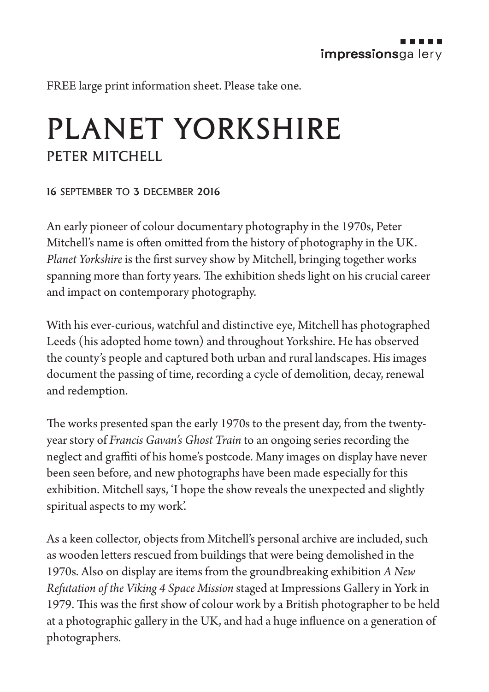FREE large print information sheet. Please take one.

## PLANET YORKSHIRE PETER MITCHELL

## 16 september to 3 december 2016

An early pioneer of colour documentary photography in the 1970s, Peter Mitchell's name is often omitted from the history of photography in the UK. *Planet Yorkshire* is the first survey show by Mitchell, bringing together works spanning more than forty years. The exhibition sheds light on his crucial career and impact on contemporary photography.

With his ever-curious, watchful and distinctive eye, Mitchell has photographed Leeds (his adopted home town) and throughout Yorkshire. He has observed the county's people and captured both urban and rural landscapes. His images document the passing of time, recording a cycle of demolition, decay, renewal and redemption.

The works presented span the early 1970s to the present day, from the twentyyear story of *Francis Gavan's Ghost Train* to an ongoing series recording the neglect and graffiti of his home's postcode. Many images on display have never been seen before, and new photographs have been made especially for this exhibition. Mitchell says, 'I hope the show reveals the unexpected and slightly spiritual aspects to my work'.

As a keen collector, objects from Mitchell's personal archive are included, such as wooden letters rescued from buildings that were being demolished in the 1970s. Also on display are items from the groundbreaking exhibition *A New Refutation of the Viking 4 Space Mission* staged at Impressions Gallery in York in 1979. This was the first show of colour work by a British photographer to be held at a photographic gallery in the UK, and had a huge influence on a generation of photographers.